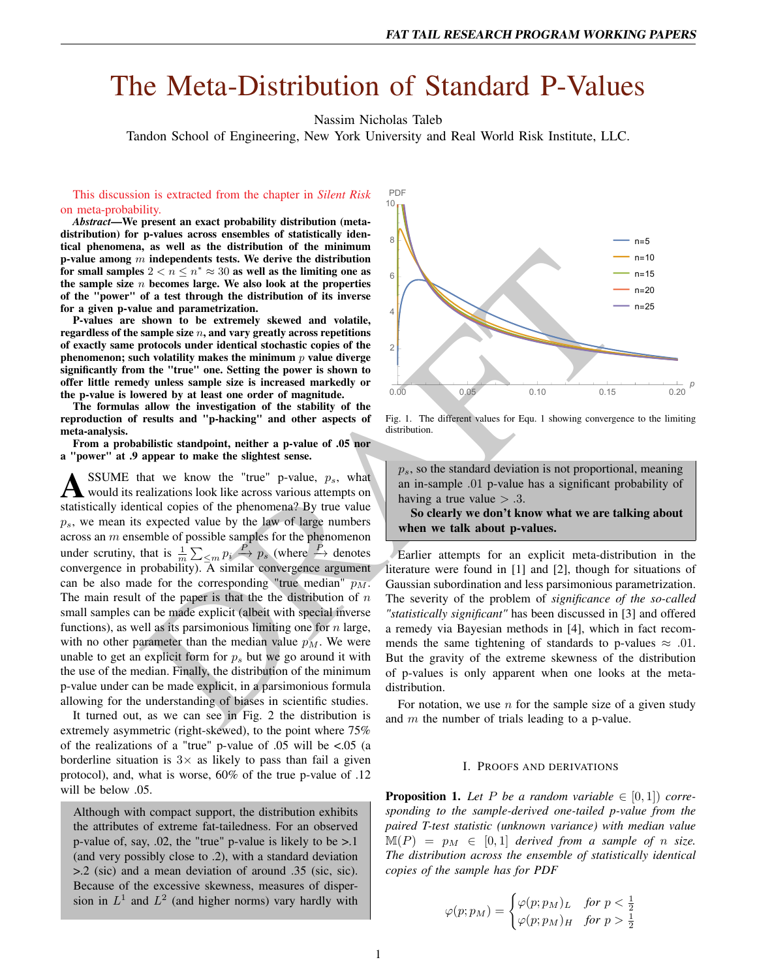# The Meta-Distribution of Standard P-Values

Nassim Nicholas Taleb

Tandon School of Engineering, New York University and Real World Risk Institute, LLC.

This discussion is extracted from the chapter in *Silent Risk* on meta-probability.

*Abstract*—We present an exact probability distribution (metadistribution) for p-values across ensembles of statistically identical phenomena, as well as the distribution of the minimum p-value among  $m$  independents tests. We derive the distribution for small samples  $2 < n \leq n^* \approx 30$  as well as the limiting one as the sample size  $n$  becomes large. We also look at the properties of the "power" of a test through the distribution of its inverse for a given p-value and parametrization.

P-values are shown to be extremely skewed and volatile, regardless of the sample size  $n$ , and vary greatly across repetitions of exactly same protocols under identical stochastic copies of the phenomenon; such volatility makes the minimum  $p$  value diverge significantly from the "true" one. Setting the power is shown to offer little remedy unless sample size is increased markedly or the p-value is lowered by at least one order of magnitude.

The formulas allow the investigation of the stability of the reproduction of results and "p-hacking" and other aspects of meta-analysis.

From a probabilistic standpoint, neither a p-value of .05 nor a "power" at .9 appear to make the slightest sense.

An announce and the description.<br>
An anomogenical interpreties the stational interpreties and the stational interpreties and the stational of a set for the stational the stational of the stational of the stational interpr  $\sum_{k}$  SSUME that we know the "true" p-value,  $p_s$ , what would its realizations look like across various attempts on SSUME that we know the "true" p-value,  $p_s$ , what statistically identical copies of the phenomena? By true value  $p_s$ , we mean its expected value by the law of large numbers across an m ensemble of possible samples for the phenomenon under scrutiny, that is  $\frac{1}{m}\sum_{\leq m} p_i \stackrel{P}{\to} p_s$  (where  $\stackrel{P}{\to}$  denotes convergence in probability). A similar convergence argument can be also made for the corresponding "true median"  $\overline{p_M}$ . The main result of the paper is that the the distribution of  $n$ small samples can be made explicit (albeit with special inverse functions), as well as its parsimonious limiting one for  $n$  large, with no other parameter than the median value  $p_M$ . We were unable to get an explicit form for  $p_s$  but we go around it with the use of the median. Finally, the distribution of the minimum p-value under can be made explicit, in a parsimonious formula allowing for the understanding of biases in scientific studies.

It turned out, as we can see in Fig. 2 the distribution is extremely asymmetric (right-skewed), to the point where 75% of the realizations of a "true" p-value of .05 will be <.05 (a borderline situation is  $3 \times$  as likely to pass than fail a given protocol), and, what is worse, 60% of the true p-value of .12 will be below .05.

Although with compact support, the distribution exhibits the attributes of extreme fat-tailedness. For an observed p-value of, say, .02, the "true" p-value is likely to be >.1 (and very possibly close to .2), with a standard deviation >.2 (sic) and a mean deviation of around .35 (sic, sic). Because of the excessive skewness, measures of dispersion in  $L^1$  and  $L^2$  (and higher norms) vary hardly with



Fig. 1. The different values for Equ. 1 showing convergence to the limiting distribution.

 $p_s$ , so the standard deviation is not proportional, meaning an in-sample .01 p-value has a significant probability of having a true value  $> .3$ .

So clearly we don't know what we are talking about when we talk about p-values.

Earlier attempts for an explicit meta-distribution in the literature were found in [1] and [2], though for situations of Gaussian subordination and less parsimonious parametrization. The severity of the problem of *significance of the so-called "statistically significant"* has been discussed in [3] and offered a remedy via Bayesian methods in [4], which in fact recommends the same tightening of standards to p-values  $\approx .01$ . But the gravity of the extreme skewness of the distribution of p-values is only apparent when one looks at the metadistribution.

For notation, we use  $n$  for the sample size of a given study and  $m$  the number of trials leading to a p-value.

# I. PROOFS AND DERIVATIONS

**Proposition 1.** Let P be a random variable  $\in [0,1]$  corre*sponding to the sample-derived one-tailed p-value from the paired T-test statistic (unknown variance) with median value*  $\mathbb{M}(P) = p_M \in [0,1]$  *derived from a sample of n size. The distribution across the ensemble of statistically identical copies of the sample has for PDF*

$$
\varphi(p;p_M)=\begin{cases} \varphi(p;p_M)_L & \textit{for $p<\frac{1}{2}$} \\ \varphi(p;p_M)_H & \textit{for $p>\frac{1}{2}$}\end{cases}
$$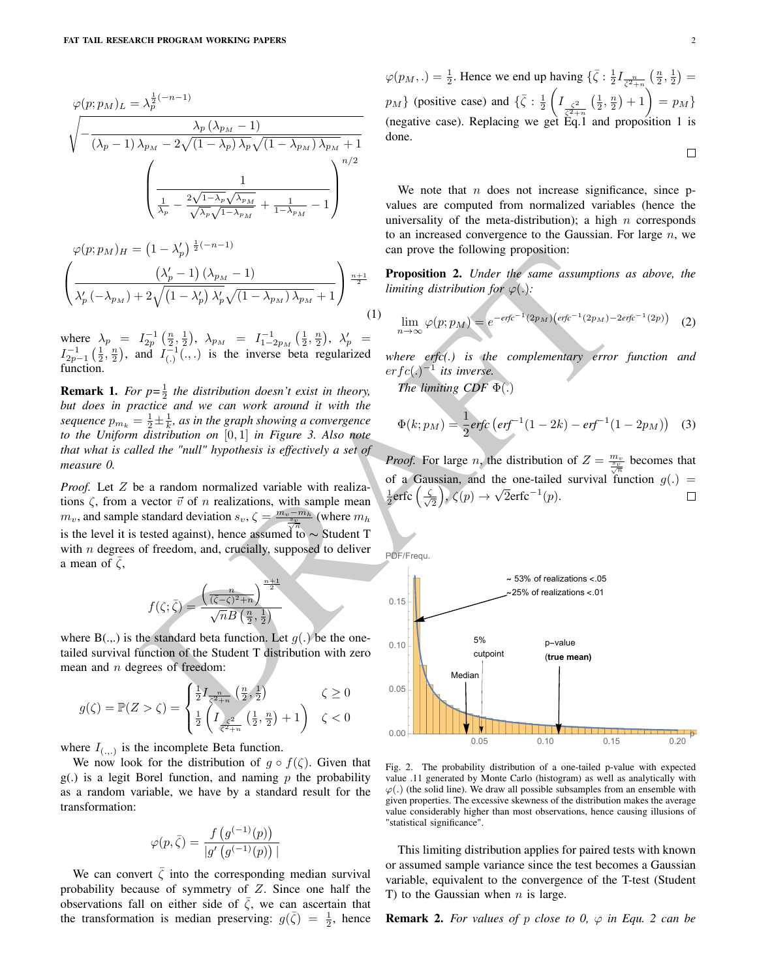$$
\varphi(p; p_M)_L = \lambda_p^{\frac{1}{2}(-n-1)} \sqrt{\frac{\lambda_p (\lambda_{p_M} - 1)}{(\lambda_p - 1) \lambda_{p_M} - 2\sqrt{(1 - \lambda_p) \lambda_p} \sqrt{(1 - \lambda_{p_M}) \lambda_{p_M} + 1}}}
$$
\n
$$
\frac{1}{\sqrt{\frac{1}{\lambda_p} - \frac{2\sqrt{1 - \lambda_p} \sqrt{\lambda_{p_M}}}{\sqrt{\lambda_p} \sqrt{1 - \lambda_{p_M}}}} + \frac{1}{1 - \lambda_{p_M} - 1}}
$$

$$
\varphi(p; p_M)_H = \left(1 - \lambda'_p\right)^{\frac{1}{2}(-n-1)} \left(\frac{\left(\lambda'_p - 1\right)\left(\lambda_{p_M} - 1\right)}{\lambda'_p \left(-\lambda_{p_M}\right) + 2\sqrt{\left(1 - \lambda'_p\right)\lambda'_p}\sqrt{\left(1 - \lambda_{p_M}\right)\lambda_{p_M}} + 1}\right)^{\frac{n+1}{2}}
$$

where  $\lambda_p = I_{2p}^{-1}(\frac{n}{2},\frac{1}{2}), \lambda_{p_M} = I_{1-2p_M}^{-1}(\frac{1}{2},\frac{n}{2}), \lambda'_p =$  $I_{2p-1}^{-1}$   $(\frac{1}{2}, \frac{n}{2})$ , and  $I_{(.)}^{-1}$   $(\cdot, \cdot)$  is the inverse beta regularized function.

**Remark 1.** For  $p=\frac{1}{2}$  the distribution doesn't exist in theory, *but does in practice and we can work around it with the* sequence  $p_{m_k} = \frac{1}{2} \pm \frac{1}{k}$ , as in the graph showing a convergence *to the Uniform distribution on* [0, 1] *in Figure 3. Also note that what is called the "null" hypothesis is effectively a set of measure 0.*

*Proof.* Let Z be a random normalized variable with realizations  $\zeta$ , from a vector  $\vec{v}$  of n realizations, with sample mean  $m_v$ , and sample standard deviation  $s_v$ ,  $\zeta = \frac{m_v - m_h}{s_v}$  (where  $m_h$ ) is the level it is tested against), hence assumed to ~ Student T with  $n$  degrees of freedom, and, crucially, supposed to deliver a mean of  $\zeta$ ,

$$
f(\zeta;\bar{\zeta}) = \frac{\left(\frac{n}{(\overline{\zeta}-\zeta)^2+n}\right)^{\frac{n+1}{2}}}{\sqrt{n}B\left(\frac{n}{2},\frac{1}{2}\right)}
$$

where  $B(.,.)$  is the standard beta function. Let  $g(.)$  be the onetailed survival function of the Student T distribution with zero mean and n degrees of freedom:

$$
g(\zeta) = \mathbb{P}(Z > \zeta) = \begin{cases} \frac{1}{2} I_{\frac{n}{\zeta^2 + n}}\left(\frac{n}{2}, \frac{1}{2}\right) & \zeta \ge 0\\ \frac{1}{2} \left( I_{\frac{\zeta^2}{\zeta^2 + n}}\left(\frac{1}{2}, \frac{n}{2}\right) + 1 \right) & \zeta < 0 \end{cases}
$$

where  $I_{(.,.)}$  is the incomplete Beta function.

We now look for the distribution of  $q \circ f(\zeta)$ . Given that  $g(.)$  is a legit Borel function, and naming p the probability as a random variable, we have by a standard result for the transformation:

$$
\varphi(p,\bar{\zeta}) = \frac{f(g^{(-1)}(p))}{|g'\left(g^{(-1)}(p)\right)}
$$

|

We can convert  $\zeta$  into the corresponding median survival probability because of symmetry of Z. Since one half the observations fall on either side of  $\overline{\zeta}$ , we can ascertain that the transformation is median preserving:  $g(\bar{\zeta}) = \frac{1}{2}$ , hence  $\Box$ 

$$
\varphi(p_M,.) = \frac{1}{2}
$$
. Hence we end up having  $\{\bar{\zeta} : \frac{1}{2}I_{\frac{n}{\zeta^2+n}}\left(\frac{n}{2},\frac{1}{2}\right) = p_M\}$  (positive case) and  $\{\bar{\zeta} : \frac{1}{2}\left(I_{\frac{\zeta^2}{\zeta^2+n}}\left(\frac{1}{2},\frac{n}{2}\right)+1\right) = p_M\}$  (negative case). Replacing we get Eq.1 and proposition 1 is done.

We note that  $n$  does not increase significance, since  $p$ values are computed from normalized variables (hence the universality of the meta-distribution); a high  $n$  corresponds to an increased convergence to the Gaussian. For large  $n$ , we can prove the following proposition:

Proposition 2. *Under the same assumptions as above, the limiting distribution for*  $\varphi(.)$ *:* 

$$
\lim_{n \to \infty} \varphi(p; p_M) = e^{-erfc^{-1}(2p_M)\left(erfc^{-1}(2p_M) - 2erfc^{-1}(2p)\right)} \tag{2}
$$

*where erfc(.) is the complementary error function and*  $erfc(.)^{-1}$  its inverse.

*The limiting CDF* Φ(.)

$$
\Phi(k; p_M) = \frac{1}{2} \text{erfc} \left( \text{erf}^{-1} (1 - 2k) - \text{erf}^{-1} (1 - 2p_M) \right) \tag{3}
$$

*Proof.* For large *n*, the distribution of  $Z = \frac{m_v}{\frac{s_v}{g}}$  becomes that of a Gaussian, and the one-tailed survival function  $g(.) =$  $\sqrt{2}$ erfc<sup>-1</sup>(p).  $rac{1}{2}$ erfc $\left(\frac{\zeta}{\sqrt{2}}\right)$  $(\frac{1}{2}), \zeta(p) \rightarrow$  $\Box$ 



(1)



Fig. 2. The probability distribution of a one-tailed p-value with expected value .11 generated by Monte Carlo (histogram) as well as analytically with  $\varphi(.)$  (the solid line). We draw all possible subsamples from an ensemble with given properties. The excessive skewness of the distribution makes the average value considerably higher than most observations, hence causing illusions of "statistical significance".

This limiting distribution applies for paired tests with known or assumed sample variance since the test becomes a Gaussian variable, equivalent to the convergence of the T-test (Student T) to the Gaussian when  $n$  is large.

**Remark 2.** For values of p close to 0,  $\varphi$  in Equ. 2 can be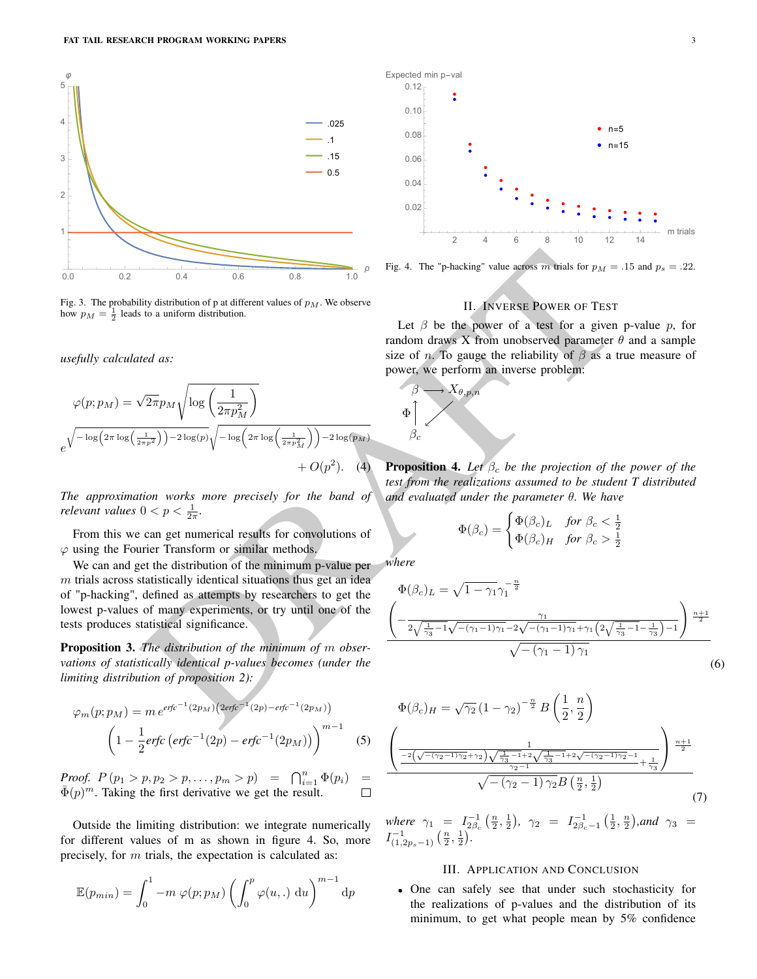

Fig. 3. The probability distribution of p at different values of  $p_M$ . We observe how  $p_M = \frac{1}{2}$  leads to a uniform distribution.

*usefully calculated as:*

Fig. 3. The probability distribution of p at different values of 
$$
p_M
$$
. We observe  
\n
$$
\varphi(x; p_M) = \sqrt{2\pi p_M} \sqrt{\log \left(\frac{1}{2\pi p_M^2}\right)}
$$
\n
$$
\varphi(x; p_M) = \sqrt{2\pi p_M} \sqrt{\log \left(\frac{1}{2\pi p_M^2}\right)}
$$
\n
$$
\varphi(x; p_M) = \sqrt{2\pi p_M} \sqrt{\log \left(\frac{1}{2\pi p_M^2}\right)}
$$
\n
$$
\varphi(x; p_M) = \sqrt{2\pi p_M} \sqrt{\log \left(\frac{1}{2\pi p_M^2}\right)}
$$
\n
$$
\varphi(x; p_M) = \sqrt{2\pi p_M} \sqrt{\log \left(\frac{1}{2\pi p_M^2}\right)}
$$
\n
$$
\varphi(x; p_M) = \sqrt{2\pi p_M} \sqrt{\log \left(\frac{1}{2\pi p_M^2}\right)}
$$
\n
$$
\varphi(x; p_M) = \sqrt{2\pi p_M} \sqrt{\log \left(\frac{1}{2\pi p_M^2}\right)}
$$
\n
$$
\varphi(x; p_M) = \sqrt{2\pi p_M} \sqrt{\log \left(\frac{1}{2\pi p_M^2}\right)}
$$
\n
$$
\varphi(x; p_M) = \sqrt{2\pi p_M} \sqrt{\log \left(\frac{1}{2\pi p_M^2}\right)}
$$
\n
$$
\varphi(x; p_M) = \sqrt{2\pi p_M} \sqrt{\log \left(\frac{1}{2\pi p_M^2}\right)}
$$
\n
$$
\varphi(x; p_M) = \sqrt{2\pi p_M} \sqrt{\log \left(\frac{1}{2\pi p_M^2}\right)}
$$
\n
$$
\varphi(x; p_M) = \sqrt{2\pi p_M} \sqrt{\log \left(\frac{1}{2\pi p_M^2}\right)}
$$
\n
$$
\varphi(x; p_M) = \sqrt{2\pi p_M} \sqrt{\log \left(\frac{1}{2\pi p_M^2}\right)}
$$
\nFrom this we can get numerical results for convolutions of *flat in flat flat in flat flat in flat in flat in flat in flat in flat*

*The approximation works more precisely for the band of relevant values*  $0 < p < \frac{1}{2\pi}$ *.* 

From this we can get numerical results for convolutions of  $\varphi$  using the Fourier Transform or similar methods.

We can and get the distribution of the minimum p-value per  $m$  trials across statistically identical situations thus get an idea of "p-hacking", defined as attempts by researchers to get the lowest p-values of many experiments, or try until one of the tests produces statistical significance.

Proposition 3. *The distribution of the minimum of* m *observations of statistically identical p-values becomes (under the limiting distribution of proposition 2):*

$$
\varphi_m(p; p_M) = m e^{erfc^{-1}(2p_M)} (2erfc^{-1}(2p) - erfc^{-1}(2p_M))
$$

$$
\left(1 - \frac{1}{2}erfc\left(erfc^{-1}(2p) - erfc^{-1}(2p_M)\right)\right)^{m-1}
$$
(5)

*Proof.*  $P(p_1 > p, p_2 > p, \ldots, p_m > p) = \bigcap_{i=1}^n \Phi(p_i) =$  $\bar{\Phi}(p)^m$ . Taking the first derivative we get the result.

Outside the limiting distribution: we integrate numerically for different values of m as shown in figure 4. So, more precisely, for m trials, the expectation is calculated as:

$$
\mathbb{E}(p_{min}) = \int_0^1 -m \varphi(p; p_M) \left( \int_0^p \varphi(u,.) \, \mathrm{d}u \right)^{m-1} \mathrm{d}p
$$



Fig. 4. The "p-hacking" value across m trials for  $p_M = .15$  and  $p_s = .22$ .

## II. INVERSE POWER OF TEST

Let  $\beta$  be the power of a test for a given p-value p, for random draws X from unobserved parameter  $\theta$  and a sample size of *n*. To gauge the reliability of  $\beta$  as a true measure of power, we perform an inverse problem:



**Proposition 4.** Let  $\beta_c$  be the projection of the power of the *test from the realizations assumed to be student T distributed and evaluated under the parameter* θ*. We have*

$$
\Phi(\beta_c) = \begin{cases} \Phi(\beta_c)_L & \text{for } \beta_c < \frac{1}{2} \\ \Phi(\beta_c)_H & \text{for } \beta_c > \frac{1}{2} \end{cases}
$$

*where*

$$
\Phi(\beta_c)_L = \sqrt{1 - \gamma_1} \gamma_1^{-\frac{n}{2}} \left( -\frac{\gamma_1}{2\sqrt{\frac{1}{\gamma_3} - 1}\sqrt{-(\gamma_1 - 1)\gamma_1} - 2\sqrt{-(\gamma_1 - 1)\gamma_1} + \gamma_1 \left(2\sqrt{\frac{1}{\gamma_3} - 1} - \frac{1}{\gamma_3}\right) - 1} \right)^{\frac{n+1}{2}} \sqrt{-(\gamma_1 - 1)\gamma_1}
$$
\n(6)

$$
\Phi(\beta_c)_H = \sqrt{\gamma_2} (1 - \gamma_2)^{-\frac{n}{2}} B\left(\frac{1}{2}, \frac{n}{2}\right)
$$

$$
\left(\frac{1}{2\sqrt{-(\gamma_2 - 1)\gamma_2} + \gamma_2 \sqrt{\frac{1}{\gamma_3} - 1} + 2\sqrt{-(\gamma_2 - 1)\gamma_2} - 1} \sqrt{\frac{n+1}{2}}\sqrt{\frac{n+1}{(\gamma_2 - 1)\gamma_2} - 1} + \frac{1}{\gamma_3}\sqrt{\frac{n+1}{2}}\sqrt{-(\gamma_2 - 1)\gamma_2} B\left(\frac{n}{2}, \frac{1}{2}\right)}\right)
$$

$$
\sqrt{-(\gamma_2 - 1)\gamma_2} B\left(\frac{n}{2}, \frac{1}{2}\right) \tag{7}
$$

*where*  $\gamma_1 = I_{2\beta_c}^{-1}(\frac{n}{2}, \frac{1}{2}), \gamma_2 = I_{2\beta_c-1}^{-1}(\frac{1}{2}, \frac{n}{2}),$  and  $\gamma_3 =$  $I^{-1}_{(1,2p_s-1)}\left(\frac{n}{2},\frac{1}{2}\right)$ .

# III. APPLICATION AND CONCLUSION

• One can safely see that under such stochasticity for the realizations of p-values and the distribution of its minimum, to get what people mean by 5% confidence